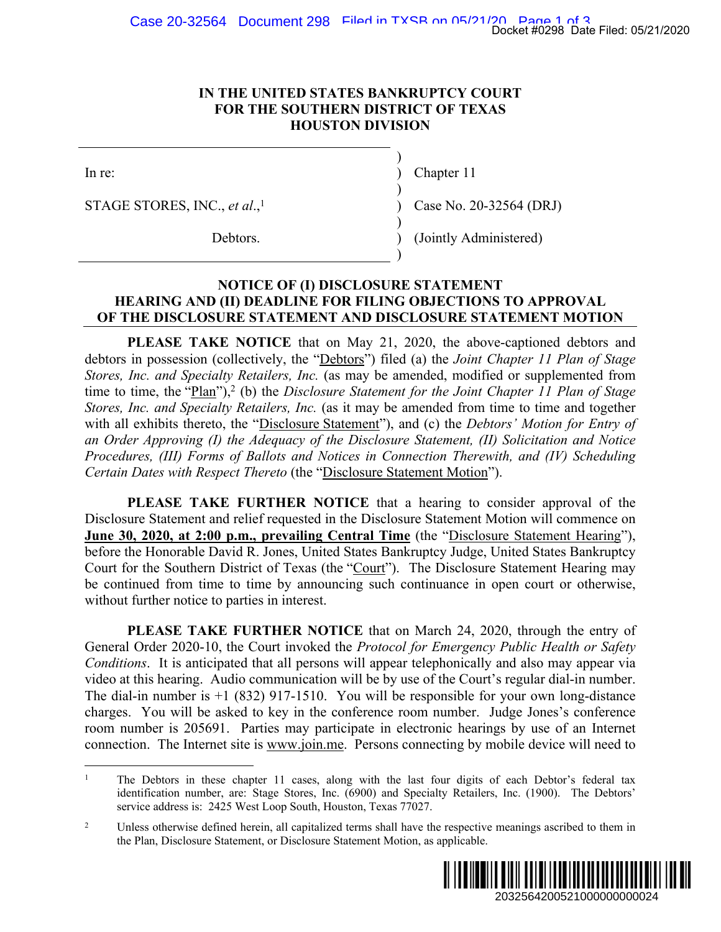)

)

)

)

## **IN THE UNITED STATES BANKRUPTCY COURT FOR THE SOUTHERN DISTRICT OF TEXAS HOUSTON DIVISION**

STAGE STORES, INC., *et al*.,

In re: (a) Chapter 11

Case No. 20-32564 (DRJ)

Debtors. (Jointly Administered)

## **NOTICE OF (I) DISCLOSURE STATEMENT HEARING AND (II) DEADLINE FOR FILING OBJECTIONS TO APPROVAL OF THE DISCLOSURE STATEMENT AND DISCLOSURE STATEMENT MOTION**

**PLEASE TAKE NOTICE** that on May 21, 2020, the above-captioned debtors and debtors in possession (collectively, the "Debtors") filed (a) the *Joint Chapter 11 Plan of Stage Stores, Inc. and Specialty Retailers, Inc.* (as may be amended, modified or supplemented from time to time, the "Plan"),<sup>2</sup> (b) the *Disclosure Statement for the Joint Chapter 11 Plan of Stage Stores, Inc. and Specialty Retailers, Inc.* (as it may be amended from time to time and together with all exhibits thereto, the "Disclosure Statement"), and (c) the *Debtors' Motion for Entry of an Order Approving (I) the Adequacy of the Disclosure Statement, (II) Solicitation and Notice Procedures, (III) Forms of Ballots and Notices in Connection Therewith, and (IV) Scheduling Certain Dates with Respect Thereto* (the "Disclosure Statement Motion"). Docket #0298 Date Filed: 05/21/2020<br>
22564 (DRJ)<br>
22564 (DRJ)<br>
22564 (DRJ)<br>
22564 (DRJ)<br>
22564 (DRJ)<br>
22564 (DRJ)<br>
22111 Marxon Alebra and<br>
2211 Plan of Stage<br>
2211 Plan of Stage<br>
2211 Plan of Stage<br>
2211 Plan of Stage<br>
22

**PLEASE TAKE FURTHER NOTICE** that a hearing to consider approval of the Disclosure Statement and relief requested in the Disclosure Statement Motion will commence on **June 30, 2020, at 2:00 p.m., prevailing Central Time** (the "Disclosure Statement Hearing"), before the Honorable David R. Jones, United States Bankruptcy Judge, United States Bankruptcy Court for the Southern District of Texas (the "Court"). The Disclosure Statement Hearing may be continued from time to time by announcing such continuance in open court or otherwise, without further notice to parties in interest.

**PLEASE TAKE FURTHER NOTICE** that on March 24, 2020, through the entry of General Order 2020-10, the Court invoked the *Protocol for Emergency Public Health or Safety Conditions*. It is anticipated that all persons will appear telephonically and also may appear via video at this hearing. Audio communication will be by use of the Court's regular dial-in number. The dial-in number is  $+1$  (832) 917-1510. You will be responsible for your own long-distance charges. You will be asked to key in the conference room number. Judge Jones's conference room number is 205691. Parties may participate in electronic hearings by use of an Internet connection. The Internet site is www.join.me. Persons connecting by mobile device will need to

<sup>2</sup> Unless otherwise defined herein, all capitalized terms shall have the respective meanings ascribed to them in the Plan, Disclosure Statement, or Disclosure Statement Motion, as applicable.



<sup>1</sup> The Debtors in these chapter 11 cases, along with the last four digits of each Debtor's federal tax identification number, are: Stage Stores, Inc. (6900) and Specialty Retailers, Inc. (1900). The Debtors' service address is: 2425 West Loop South, Houston, Texas 77027.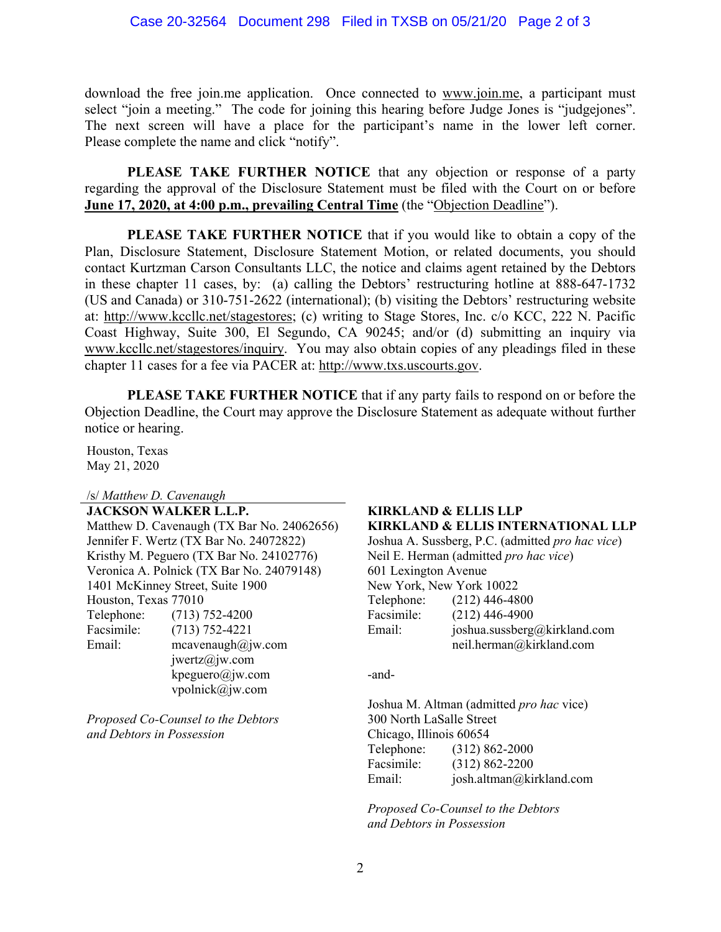download the free join.me application. Once connected to www.join.me, a participant must select "join a meeting." The code for joining this hearing before Judge Jones is "judgejones". The next screen will have a place for the participant's name in the lower left corner. Please complete the name and click "notify".

**PLEASE TAKE FURTHER NOTICE** that any objection or response of a party regarding the approval of the Disclosure Statement must be filed with the Court on or before **June 17, 2020, at 4:00 p.m., prevailing Central Time** (the "Objection Deadline").

**PLEASE TAKE FURTHER NOTICE** that if you would like to obtain a copy of the Plan, Disclosure Statement, Disclosure Statement Motion, or related documents, you should contact Kurtzman Carson Consultants LLC, the notice and claims agent retained by the Debtors in these chapter 11 cases, by: (a) calling the Debtors' restructuring hotline at 888-647-1732 (US and Canada) or 310-751-2622 (international); (b) visiting the Debtors' restructuring website at: http://www.kccllc.net/stagestores; (c) writing to Stage Stores, Inc. c/o KCC, 222 N. Pacific Coast Highway, Suite 300, El Segundo, CA 90245; and/or (d) submitting an inquiry via www.kccllc.net/stagestores/inquiry. You may also obtain copies of any pleadings filed in these chapter 11 cases for a fee via PACER at: http://www.txs.uscourts.gov.

**PLEASE TAKE FURTHER NOTICE** that if any party fails to respond on or before the Objection Deadline, the Court may approve the Disclosure Statement as adequate without further notice or hearing.

Houston, Texas May 21, 2020

/s/ *Matthew D. Cavenaugh*

**JACKSON WALKER L.L.P. KIRKLAND & ELLIS LLP** Jennifer F. Wertz (TX Bar No. 24072822) Joshua A. Sussberg, P.C. (admitted *pro hac vice*) Kristhy M. Peguero (TX Bar No. 24102776) Neil E. Herman (admitted *pro hac vice*) Veronica A. Polnick (TX Bar No. 24079148) 601 Lexington Avenue 1401 McKinney Street, Suite 1900 New York, New York 10022 Houston, Texas 77010 Telephone: (212) 446-4800 Telephone: (713) 752-4200 Facsimile: (212) 446-4900 Facsimile: (713) 752-4221 Email: joshua.sussberg@kirkland.com Email: mcavenaugh@jw.com jwertz@jw.com  $k$ peguero $@$ jw.com -andvpolnick@jw.com

*Proposed Co-Counsel to the Debtors* 300 North LaSalle Street *and Debtors in Possession* Chicago, Illinois 60654

## Matthew D. Cavenaugh (TX Bar No. 24062656) **KIRKLAND & ELLIS INTERNATIONAL LLP**

neil.herman@kirkland.com

Joshua M. Altman (admitted *pro hac* vice) Telephone: (312) 862-2000 Facsimile: (312) 862-2200 Email: josh.altman@kirkland.com

*Proposed Co-Counsel to the Debtors and Debtors in Possession*